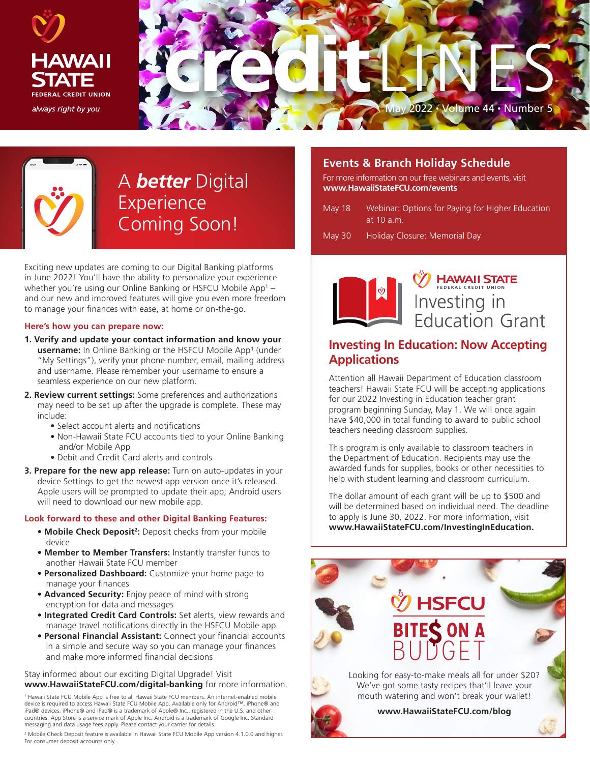



## A *better* Digital Experience Coming Soon!

Exciting new updates are coming to our Digital Banking platforms in June 2022! You'll have the ability to personalize your experience whether you're using our Online Banking or HSFCU Mobile App1 – and our new and improved features will give you even more freedom to manage your finances with ease, at home or on-the-go.

#### **Here's how you can prepare now:**

- **1. Verify and update your contact information and know your**  username: In Online Banking or the HSFCU Mobile App<sup>1</sup> (under "My Settings"), verify your phone number, email, mailing address and username. Please remember your username to ensure a seamless experience on our new platform.
- **2. Review current settings:** Some preferences and authorizations may need to be set up after the upgrade is complete. These may include:
	- Select account alerts and notifications
	- Non-Hawaii State FCU accounts tied to your Online Banking and/or Mobile App
	- Debit and Credit Card alerts and controls
- **3. Prepare for the new app release:** Turn on auto-updates in your device Settings to get the newest app version once it's released. Apple users will be prompted to update their app; Android users will need to download our new mobile app.

#### **Look forward to these and other Digital Banking Features:**

- **Mobile Check Deposit<sup>2</sup>:** Deposit checks from your mobile device
- **Member to Member Transfers:** Instantly transfer funds to another Hawaii State FCU member
- **Personalized Dashboard:** Customize your home page to manage your finances
- **Advanced Security:** Enjoy peace of mind with strong encryption for data and messages
- **Integrated Credit Card Controls:** Set alerts, view rewards and manage travel notifications directly in the HSFCU Mobile app
- **Personal Financial Assistant:** Connect your financial accounts in a simple and secure way so you can manage your finances and make more informed financial decisions

#### Stay informed about our exciting Digital Upgrade! Visit **www.HawaiiStateFCU.com/digital-banking** for more information.

1 Hawaii State FCU Mobile App is free to all Hawaii State FCU members. An internet-enabled mobile device is required to access Hawaii State FCU Mobile App. Available only for Android™, iPhone® and iPad® devices. iPhone® and iPad® is a trademark of Apple® Inc., registered in the U.S. and other countries. App Store is a service mark of Apple Inc. Android is a trademark of Google Inc. Standard messaging and data usage fees apply. Please contact your carrier for details.

<sup>2</sup> Mobile Check Deposit feature is available in Hawaii State FCU Mobile App version 4.1.0.0 and higher. For consumer deposit accounts only.

## **Events & Branch Holiday Schedule**

For more information on our free webinars and events, visit **www.HawaiiStateFCU.com/events**

- May 18 Webinar: Options for Paying for Higher Education at 10 a.m.
- May 30 Holiday Closure: Memorial Day



# **HAWAII STATE** Investing in<br>Education Grant

## **Investing In Education: Now Accepting Applications**

Attention all Hawaii Department of Education classroom teachers! Hawaii State FCU will be accepting applications for our 2022 Investing in Education teacher grant program beginning Sunday, May 1. We will once again have \$40,000 in total funding to award to public school teachers needing classroom supplies.

This program is only available to classroom teachers in the Department of Education. Recipients may use the awarded funds for supplies, books or other necessities to help with student learning and classroom curriculum.

The dollar amount of each grant will be up to \$500 and will be determined based on individual need. The deadline to apply is June 30, 2022. For more information, visit **www.HawaiiStateFCU.com/InvestingInEducation.**